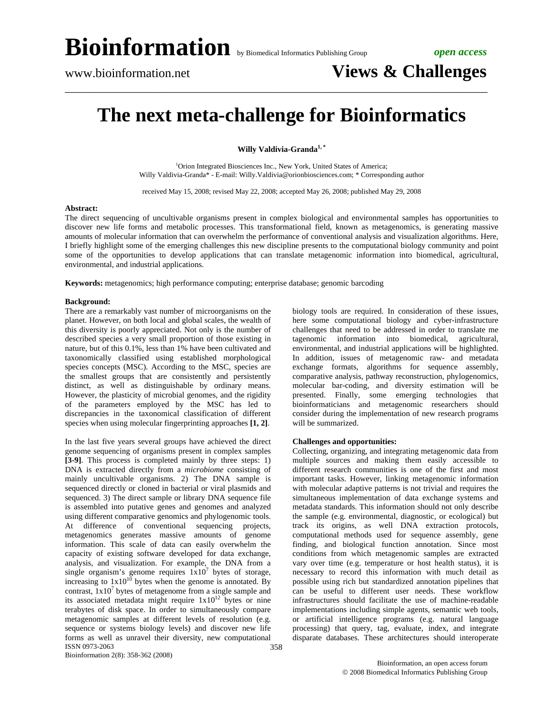## **The next meta-challenge for Bioinformatics**

\_\_\_\_\_\_\_\_\_\_\_\_\_\_\_\_\_\_\_\_\_\_\_\_\_\_\_\_\_\_\_\_\_\_\_\_\_\_\_\_\_\_\_\_\_\_\_\_\_\_\_\_\_\_\_\_\_\_\_\_\_\_\_\_\_\_\_\_\_\_\_\_\_\_\_\_\_\_

**Willy Valdivia-Granda1, \***

<sup>1</sup>Orion Integrated Biosciences Inc., New York, United States of America; Willy Valdivia-Granda\* - E-mail: Willy.Valdivia@orionbiosciences.com; \* Corresponding author

received May 15, 2008; revised May 22, 2008; accepted May 26, 2008; published May 29, 2008

### **Abstract:**

The direct sequencing of uncultivable organisms present in complex biological and environmental samples has opportunities to discover new life forms and metabolic processes. This transformational field, known as metagenomics, is generating massive amounts of molecular information that can overwhelm the performance of conventional analysis and visualization algorithms. Here, I briefly highlight some of the emerging challenges this new discipline presents to the computational biology community and point some of the opportunities to develop applications that can translate metagenomic information into biomedical, agricultural, environmental, and industrial applications.

**Keywords:** metagenomics; high performance computing; enterprise database; genomic barcoding

### **Background:**

There are a remarkably vast number of microorganisms on the planet. However, on both local and global scales, the wealth of this diversity is poorly appreciated. Not only is the number of described species a very small proportion of those existing in nature, but of this 0.1%, less than 1% have been cultivated and taxonomically classified using established morphological species concepts (MSC). According to the MSC, species are the smallest groups that are consistently and persistently distinct, as well as distinguishable by ordinary means. However, the plasticity of microbial genomes, and the rigidity of the parameters employed by the MSC has led to discrepancies in the taxonomical classification of different species when using molecular fingerprinting approaches **[1, 2]**.

ISSN 0973-2063 In the last five years several groups have achieved the direct genome sequencing of organisms present in complex samples **[3-9]**. This process is completed mainly by three steps: 1) DNA is extracted directly from a *microbiome* consisting of mainly uncultivable organisms. 2) The DNA sample is sequenced directly or cloned in bacterial or viral plasmids and sequenced. 3) The direct sample or library DNA sequence file is assembled into putative genes and genomes and analyzed using different comparative genomics and phylogenomic tools. At difference of conventional sequencing projects, metagenomics generates massive amounts of genome information. This scale of data can easily overwhelm the capacity of existing software developed for data exchange, analysis, and visualization. For example, the DNA from a single organism's genome requires  $1x10^7$  bytes of storage, increasing to  $1x10^{10}$  bytes when the genome is annotated. By contrast,  $1x10<sup>7</sup>$  bytes of metagenome from a single sample and its associated metadata might require  $1x10^{12}$  bytes or nine terabytes of disk space. In order to simultaneously compare metagenomic samples at different levels of resolution (e.g. sequence or systems biology levels) and discover new life forms as well as unravel their diversity, new computational

biology tools are required. In consideration of these issues, here some computational biology and cyber-infrastructure challenges that need to be addressed in order to translate me tagenomic information into biomedical, agricultural, environmental, and industrial applications will be highlighted. In addition, issues of metagenomic raw- and metadata exchange formats, algorithms for sequence assembly, comparative analysis, pathway reconstruction, phylogenomics, molecular bar-coding, and diversity estimation will be presented. Finally, some emerging technologies that bioinformaticians and metagenomic researchers should consider during the implementation of new research programs will be summarized.

### **Challenges and opportunities:**

Collecting, organizing, and integrating metagenomic data from multiple sources and making them easily accessible to different research communities is one of the first and most important tasks. However, linking metagenomic information with molecular adaptive patterns is not trivial and requires the simultaneous implementation of data exchange systems and metadata standards. This information should not only describe the sample (e.g. environmental, diagnostic, or ecological) but track its origins, as well DNA extraction protocols, computational methods used for sequence assembly, gene finding, and biological function annotation. Since most conditions from which metagenomic samples are extracted vary over time (e.g. temperature or host health status), it is necessary to record this information with much detail as possible using rich but standardized annotation pipelines that can be useful to different user needs. These workflow infrastructures should facilitate the use of machine-readable implementations including simple agents, semantic web tools, or artificial intelligence programs (e.g. natural language processing) that query, tag, evaluate, index, and integrate disparate databases. These architectures should interoperate

Bioinformation 2(8): 358-362 (2008)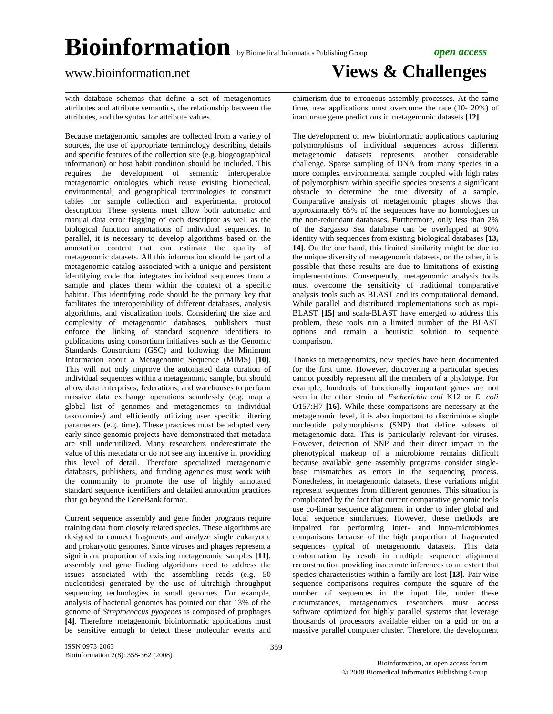\_\_\_\_\_\_\_\_\_\_\_\_\_\_\_\_\_\_\_\_\_\_\_\_\_\_\_\_\_\_\_\_\_\_\_\_\_\_\_\_\_\_\_\_\_\_\_\_\_\_\_\_\_\_\_\_\_\_\_\_\_\_\_\_\_\_\_\_\_\_\_\_\_\_\_\_\_\_

## www.bioinformation.net **Views & Challenges**

with database schemas that define a set of metagenomics attributes and attribute semantics, the relationship between the attributes, and the syntax for attribute values.

Because metagenomic samples are collected from a variety of sources, the use of appropriate terminology describing details and specific features of the collection site (e.g. biogeographical information) or host habit condition should be included. This requires the development of semantic interoperable metagenomic ontologies which reuse existing biomedical, environmental, and geographical terminologies to construct tables for sample collection and experimental protocol description. These systems must allow both automatic and manual data error flagging of each descriptor as well as the biological function annotations of individual sequences. In parallel, it is necessary to develop algorithms based on the annotation content that can estimate the quality of metagenomic datasets. All this information should be part of a metagenomic catalog associated with a unique and persistent identifying code that integrates individual sequences from a sample and places them within the context of a specific habitat. This identifying code should be the primary key that facilitates the interoperability of different databases, analysis algorithms, and visualization tools. Considering the size and complexity of metagenomic databases, publishers must enforce the linking of standard sequence identifiers to publications using consortium initiatives such as the Genomic Standards Consortium (GSC) and following the Minimum Information about a Metagenomic Sequence (MIMS) **[10]**. This will not only improve the automated data curation of individual sequences within a metagenomic sample, but should allow data enterprises, federations, and warehouses to perform massive data exchange operations seamlessly (e.g. map a global list of genomes and metagenomes to individual taxonomies) and efficiently utilizing user specific filtering parameters (e.g. time). These practices must be adopted very early since genomic projects have demonstrated that metadata are still underutilized. Many researchers underestimate the value of this metadata or do not see any incentive in providing this level of detail. Therefore specialized metagenomic databases, publishers, and funding agencies must work with the community to promote the use of highly annotated standard sequence identifiers and detailed annotation practices that go beyond the GeneBank format.

Current sequence assembly and gene finder programs require training data from closely related species. These algorithms are designed to connect fragments and analyze single eukaryotic and prokaryotic genomes. Since viruses and phages represent a significant proportion of existing metagenomic samples **[11]**, assembly and gene finding algorithms need to address the issues associated with the assembling reads (e.g. 50 nucleotides) generated by the use of ultrahigh throughput sequencing technologies in small genomes. For example, analysis of bacterial genomes has pointed out that 13% of the genome of *Streptococcus pyogenes* is composed of prophages **[4]***.* Therefore, metagenomic bioinformatic applications must be sensitive enough to detect these molecular events and chimerism due to erroneous assembly processes. At the same time, new applications must overcome the rate (10- 20%) of inaccurate gene predictions in metagenomic datasets **[12]**.

The development of new bioinformatic applications capturing polymorphisms of individual sequences across different metagenomic datasets represents another considerable challenge. Sparse sampling of DNA from many species in a more complex environmental sample coupled with high rates of polymorphism within specific species presents a significant obstacle to determine the true diversity of a sample. Comparative analysis of metagenomic phages shows that approximately 65% of the sequences have no homologues in the non-redundant databases. Furthermore, only less than 2% of the Sargasso Sea database can be overlapped at 90% identity with sequences from existing biological databases **[13, 14]**. On the one hand, this limited similarity might be due to the unique diversity of metagenomic datasets, on the other, it is possible that these results are due to limitations of existing implementations. Consequently, metagenomic analysis tools must overcome the sensitivity of traditional comparative analysis tools such as BLAST and its computational demand. While parallel and distributed implementations such as mpi-BLAST **[15]** and scala-BLAST have emerged to address this problem, these tools run a limited number of the BLAST options and remain a heuristic solution to sequence comparison.

Thanks to metagenomics, new species have been documented for the first time. However, discovering a particular species cannot possibly represent all the members of a phylotype. For example, hundreds of functionally important genes are not seen in the other strain of *Escherichia coli* K12 or *E. coli* O157:H7 **[16]**. While these comparisons are necessary at the metagenomic level, it is also important to discriminate single nucleotide polymorphisms (SNP) that define subsets of metagenomic data. This is particularly relevant for viruses. However, detection of SNP and their direct impact in the phenotypical makeup of a microbiome remains difficult because available gene assembly programs consider singlebase mismatches as errors in the sequencing process. Nonetheless, in metagenomic datasets, these variations might represent sequences from different genomes. This situation is complicated by the fact that current comparative genomic tools use co-linear sequence alignment in order to infer global and local sequence similarities. However, these methods are impaired for performing inter- and intra-microbiomes comparisons because of the high proportion of fragmented sequences typical of metagenomic datasets. This data conformation by result in multiple sequence alignment reconstruction providing inaccurate inferences to an extent that species characteristics within a family are lost **[13]**. Pair-wise sequence comparisons requires compute the square of the number of sequences in the input file, under these circumstances, metagenomics researchers must access software optimized for highly parallel systems that leverage thousands of processors available either on a grid or on a massive parallel computer cluster. Therefore, the development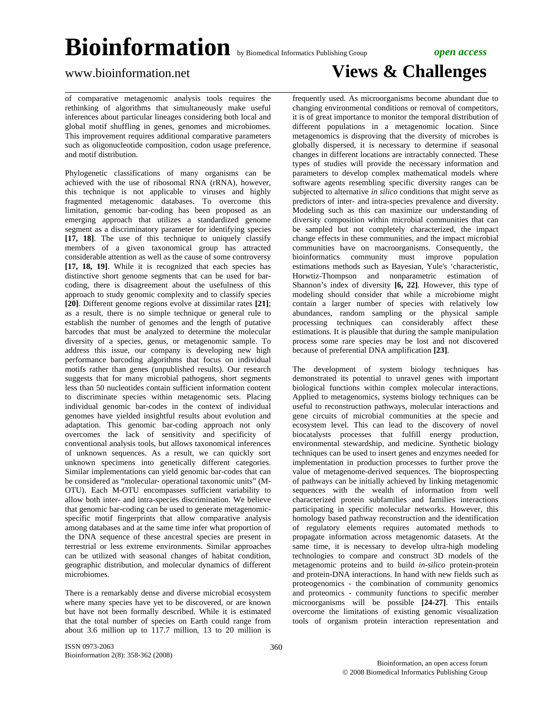\_\_\_\_\_\_\_\_\_\_\_\_\_\_\_\_\_\_\_\_\_\_\_\_\_\_\_\_\_\_\_\_\_\_\_\_\_\_\_\_\_\_\_\_\_\_\_\_\_\_\_\_\_\_\_\_\_\_\_\_\_\_\_\_\_\_\_\_\_\_\_\_\_\_\_\_\_\_

of comparative metagenomic analysis tools requires the rethinking of algorithms that simultaneously make useful inferences about particular lineages considering both local and global motif shuffling in genes, genomes and microbiomes. This improvement requires additional comparative parameters such as oligonucleotide composition, codon usage preference, and motif distribution.

Phylogenetic classifications of many organisms can be achieved with the use of ribosomal RNA (rRNA), however, this technique is not applicable to viruses and highly fragmented metagenomic databases. To overcome this limitation, genomic bar-coding has been proposed as an emerging approach that utilizes a standardized genome segment as a discriminatory parameter for identifying species **[17, 18]**. The use of this technique to uniquely classify members of a given taxonomical group has attracted considerable attention as well as the cause of some controversy [17, 18, 19]. While it is recognized that each species has distinctive short genome segments that can be used for barcoding, there is disagreement about the usefulness of this approach to study genomic complexity and to classify species **[20]**. Different genome regions evolve at dissimilar rates **[21]**; as a result, there is no simple technique or general rule to establish the number of genomes and the length of putative barcodes that must be analyzed to determine the molecular diversity of a species, genus, or metagenomic sample. To address this issue, our company is developing new high performance barcoding algorithms that focus on individual motifs rather than genes (unpublished results). Our research suggests that for many microbial pathogens, short segments less than 50 nucleotides contain sufficient information content to discriminate species within metagenomic sets. Placing individual genomic bar-codes in the context of individual genomes have yielded insightful results about evolution and adaptation. This genomic bar-coding approach not only overcomes the lack of sensitivity and specificity of conventional analysis tools, but allows taxonomical inferences of unknown sequences. As a result, we can quickly sort unknown specimens into genetically different categories. Similar implementations can yield genomic bar-codes that can be considered as "molecular- operational taxonomic units" (M-OTU). Each M-OTU encompasses sufficient variability to allow both inter- and intra-species discrimination. We believe that genomic bar-coding can be used to generate metagenomicspecific motif fingerprints that allow comparative analysis among databases and at the same time infer what proportion of the DNA sequence of these ancestral species are present in terrestrial or less extreme environments. Similar approaches can be utilized with seasonal changes of habitat condition, geographic distribution, and molecular dynamics of different microbiomes.

There is a remarkably dense and diverse microbial ecosystem where many species have yet to be discovered, or are known but have not been formally described. While it is estimated that the total number of species on Earth could range from about 3.6 million up to 117.7 million, 13 to 20 million is

frequently used. As microorganisms become abundant due to changing environmental conditions or removal of competitors, it is of great importance to monitor the temporal distribution of different populations in a metagenomic location. Since metagenomics is disproving that the diversity of microbes is globally dispersed, it is necessary to determine if seasonal changes in different locations are intractably connected. These types of studies will provide the necessary information and parameters to develop complex mathematical models where software agents resembling specific diversity ranges can be subjected to alternative *in silico* conditions that might serve as predictors of inter- and intra-species prevalence and diversity. Modeling such as this can maximize our understanding of diversity composition within microbial communities that can be sampled but not completely characterized, the impact change effects in these communities, and the impact microbial communities have on macroorganisms. Consequently, the bioinformatics community must improve population estimations methods such as Bayesian, Yule's 'characteristic, Horwtiz-Thompson and nonparametric estimation of Shannon's index of diversity **[6, 22]**. However, this type of modeling should consider that while a microbiome might contain a larger number of species with relatively low abundances, random sampling or the physical sample processing techniques can considerably affect these estimations. It is plausible that during the sample manipulation process some rare species may be lost and not discovered because of preferential DNA amplification **[23]**.

The development of system biology techniques has demonstrated its potential to unravel genes with important biological functions within complex molecular interactions. Applied to metagenomics, systems biology techniques can be useful to reconstruction pathways, molecular interactions and gene circuits of microbial communities at the specie and ecosystem level. This can lead to the discovery of novel biocatalysts processes that fulfill energy production, environmental stewardship, and medicine. Synthetic biology techniques can be used to insert genes and enzymes needed for implementation in production processes to further prove the value of metagenome-derived sequences. The bioprospecting of pathways can be initially achieved by linking metagenomic sequences with the wealth of information from well characterized protein subfamilies and families interactions participating in specific molecular networks. However, this homology based pathway reconstruction and the identification of regulatory elements requires automated methods to propagate information across metagenomic datasets. At the same time, it is necessary to develop ultra-high modeling technologies to compare and construct 3D models of the metagenomic proteins and to build *in-silico* protein-protein and protein-DNA interactions. In hand with new fields such as proteogenomics - the combination of community genomics and proteomics - community functions to specific member microorganisms will be possible **[24-27]**. This entails overcome the limitations of existing genomic visualization tools of organism protein interaction representation and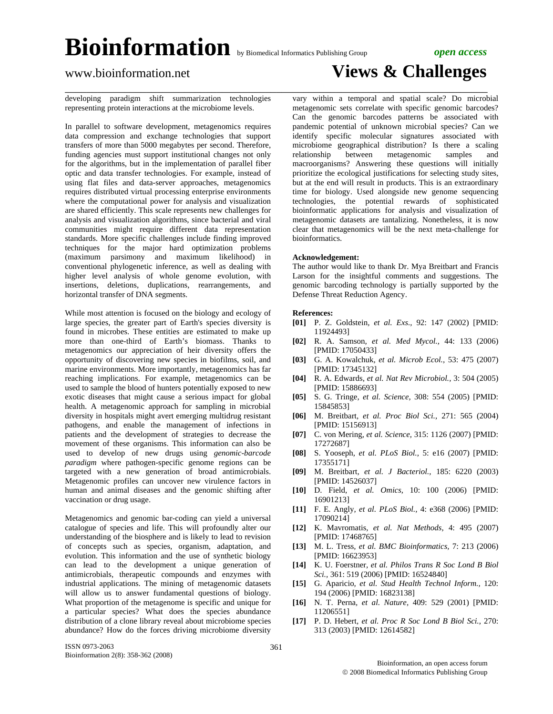\_\_\_\_\_\_\_\_\_\_\_\_\_\_\_\_\_\_\_\_\_\_\_\_\_\_\_\_\_\_\_\_\_\_\_\_\_\_\_\_\_\_\_\_\_\_\_\_\_\_\_\_\_\_\_\_\_\_\_\_\_\_\_\_\_\_\_\_\_\_\_\_\_\_\_\_\_\_

### www.bioinformation.net **Views & Challenges**

developing paradigm shift summarization technologies representing protein interactions at the microbiome levels.

In parallel to software development, metagenomics requires data compression and exchange technologies that support transfers of more than 5000 megabytes per second. Therefore, funding agencies must support institutional changes not only for the algorithms, but in the implementation of parallel fiber optic and data transfer technologies. For example, instead of using flat files and data-server approaches, metagenomics requires distributed virtual processing enterprise environments where the computational power for analysis and visualization are shared efficiently. This scale represents new challenges for analysis and visualization algorithms, since bacterial and viral communities might require different data representation standards. More specific challenges include finding improved techniques for the major hard optimization problems (maximum parsimony and maximum likelihood) in conventional phylogenetic inference, as well as dealing with higher level analysis of whole genome evolution, with insertions, deletions, duplications, rearrangements, and horizontal transfer of DNA segments.

While most attention is focused on the biology and ecology of large species, the greater part of Earth's species diversity is found in microbes. These entities are estimated to make up more than one-third of Earth's biomass. Thanks to metagenomics our appreciation of heir diversity offers the opportunity of discovering new species in biofilms, soil, and marine environments. More importantly, metagenomics has far reaching implications. For example, metagenomics can be used to sample the blood of hunters potentially exposed to new exotic diseases that might cause a serious impact for global health. A metagenomic approach for sampling in microbial diversity in hospitals might avert emerging multidrug resistant pathogens, and enable the management of infections in patients and the development of strategies to decrease the movement of these organisms. This information can also be used to develop of new drugs using *genomic-barcode paradigm* where pathogen-specific genome regions can be targeted with a new generation of broad antimicrobials. Metagenomic profiles can uncover new virulence factors in human and animal diseases and the genomic shifting after vaccination or drug usage.

Metagenomics and genomic bar-coding can yield a universal catalogue of species and life. This will profoundly alter our understanding of the biosphere and is likely to lead to revision of concepts such as species, organism, adaptation, and evolution. This information and the use of synthetic biology can lead to the development a unique generation of antimicrobials, therapeutic compounds and enzymes with industrial applications. The mining of metagenomic datasets will allow us to answer fundamental questions of biology. What proportion of the metagenome is specific and unique for a particular species? What does the species abundance distribution of a clone library reveal about microbiome species abundance? How do the forces driving microbiome diversity vary within a temporal and spatial scale? Do microbial metagenomic sets correlate with specific genomic barcodes? Can the genomic barcodes patterns be associated with pandemic potential of unknown microbial species? Can we identify specific molecular signatures associated with microbiome geographical distribution? Is there a scaling relationship between metagenomic samples and macroorganisms? Answering these questions will initially prioritize the ecological justifications for selecting study sites, but at the end will result in products. This is an extraordinary time for biology. Used alongside new genome sequencing technologies, the potential rewards of sophisticated bioinformatic applications for analysis and visualization of metagenomic datasets are tantalizing. Nonetheless, it is now clear that metagenomics will be the next meta-challenge for bioinformatics.

### **Acknowledgement:**

The author would like to thank Dr. Mya Breitbart and Francis Larson for the insightful comments and suggestions. The genomic barcoding technology is partially supported by the Defense Threat Reduction Agency.

### **References:**

- **[01]** P. Z. Goldstein*, et al. Exs.,* 92: 147 (2002) [PMID: 11924493]
- **[02]** R. A. Samson*, et al. Med Mycol.,* 44: 133 (2006) [PMID: 17050433]
- **[03]** G. A. Kowalchuk*, et al. Microb Ecol.,* 53: 475 (2007) [PMID: 17345132]
- **[04]** R. A. Edwards*, et al. Nat Rev Microbiol.,* 3: 504 (2005) [PMID: 15886693]
- **[05]** S. G. Tringe*, et al. Science,* 308: 554 (2005) [PMID: 15845853]
- **[06]** M. Breitbart*, et al. Proc Biol Sci.,* 271: 565 (2004) [PMID: 15156913]
- **[07]** C. von Mering*, et al. Science,* 315: 1126 (2007) [PMID: 17272687]
- **[08]** S. Yooseph*, et al. PLoS Biol.,* 5: e16 (2007) [PMID: 17355171]
- **[09]** M. Breitbart*, et al. J Bacteriol.,* 185: 6220 (2003) [PMID: 14526037]
- **[10]** D. Field*, et al. Omics,* 10: 100 (2006) [PMID: 16901213]
- **[11]** F. E. Angly*, et al. PLoS Biol.,* 4: e368 (2006) [PMID: 17090214]
- **[12]** K. Mavromatis*, et al. Nat Methods,* 4: 495 (2007) [PMID: 17468765]
- **[13]** M. L. Tress*, et al. BMC Bioinformatics,* 7: 213 (2006) [PMID: 16623953]
- **[14]** K. U. Foerstner*, et al. Philos Trans R Soc Lond B Biol Sci.,* 361: 519 (2006) [PMID: 16524840]
- **[15]** G. Aparicio*, et al. Stud Health Technol Inform.,* 120: 194 (2006) [PMID: 16823138]
- **[16]** N. T. Perna*, et al. Nature,* 409: 529 (2001) [PMID: 11206551]
- **[17]** P. D. Hebert*, et al. Proc R Soc Lond B Biol Sci.,* 270: 313 (2003) [PMID: 12614582]

361

Bioinformation, an open access forum © 2008 Biomedical Informatics Publishing Group